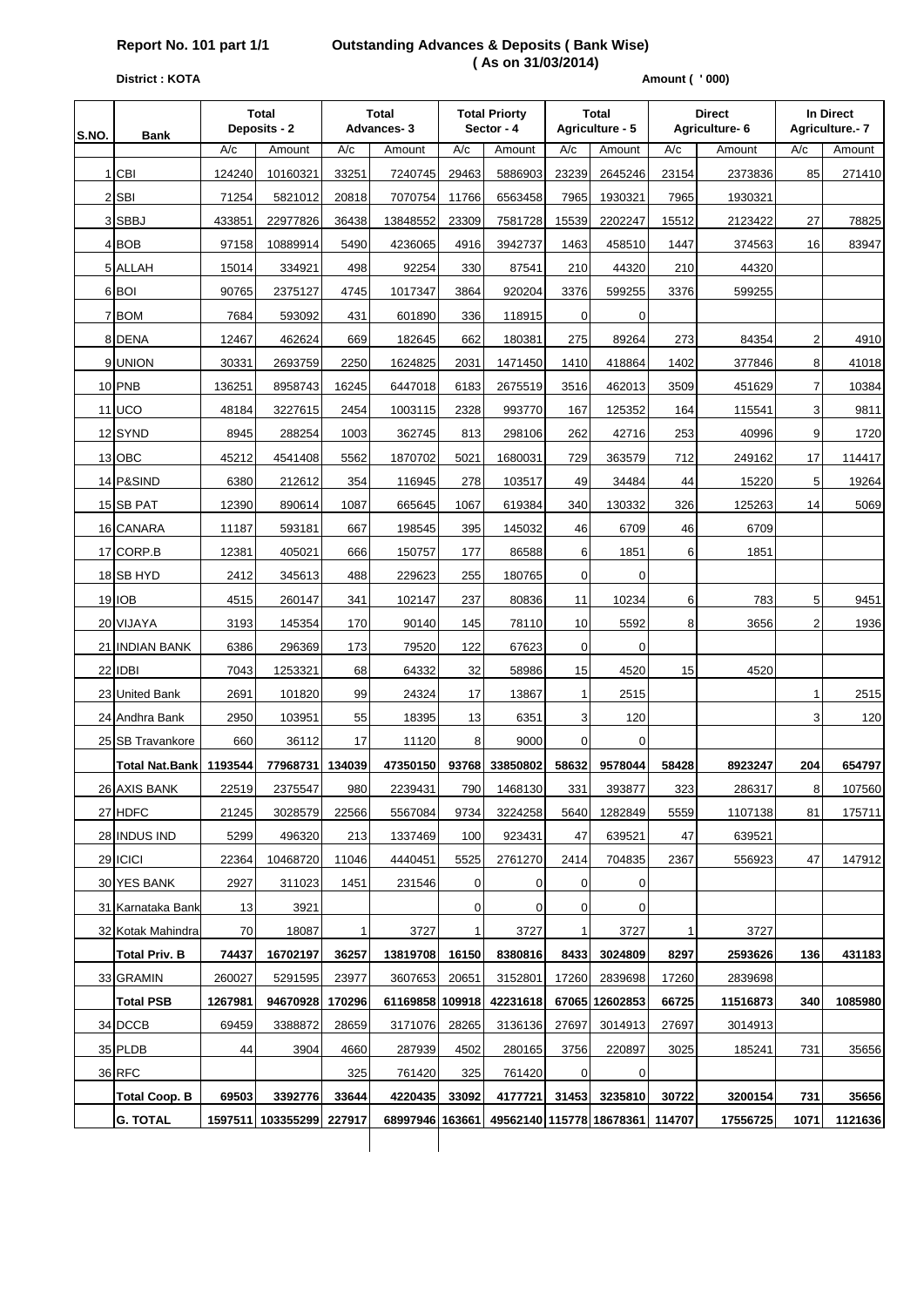# **Report No. 101 part 1/1 Outstanding Advances & Deposits ( Bank Wise) (As on 31/03/2014)**<br>District : KOTA

#### **Amount ( ' 000)**

| S.NO. |                       | <b>Total</b><br>Deposits - 2<br><b>Bank</b> |                          |              | <b>Total</b><br><b>Advances-3</b> | <b>Total Priorty</b><br>Sector - 4 |          | Total<br>Agriculture - 5 |                                 | <b>Direct</b><br>Agriculture- 6 |          | In Direct<br>Agriculture.- 7 |         |
|-------|-----------------------|---------------------------------------------|--------------------------|--------------|-----------------------------------|------------------------------------|----------|--------------------------|---------------------------------|---------------------------------|----------|------------------------------|---------|
|       |                       | A/c                                         | Amount                   | A/c          | Amount                            | A/c                                | Amount   | A/c                      | Amount                          | A/c                             | Amount   | A/c                          | Amount  |
|       | 1 CBI                 | 124240                                      | 10160321                 | 33251        | 7240745                           | 29463                              | 5886903  | 23239                    | 2645246                         | 23154                           | 2373836  | 85                           | 271410  |
|       | $2$ SBI               | 71254                                       | 5821012                  | 20818        | 7070754                           | 11766                              | 6563458  | 7965                     | 1930321                         | 7965                            | 1930321  |                              |         |
|       | 3 SBBJ                | 433851                                      | 22977826                 | 36438        | 13848552                          | 23309                              | 7581728  | 15539                    | 2202247                         | 15512                           | 2123422  | 27                           | 78825   |
|       | 4 BOB                 | 97158                                       | 10889914                 | 5490         | 4236065                           | 4916                               | 3942737  | 1463                     | 458510                          | 1447                            | 374563   | 16                           | 83947   |
|       | 5 ALLAH               | 15014                                       | 334921                   | 498          | 92254                             | 330                                | 87541    | 210                      | 44320                           | 210                             | 44320    |                              |         |
|       | 6 BOI                 | 90765                                       | 2375127                  | 4745         | 1017347                           | 3864                               | 920204   | 3376                     | 599255                          | 3376                            | 599255   |                              |         |
|       | 7 BOM                 | 7684                                        | 593092                   | 431          | 601890                            | 336                                | 118915   | $\mathbf 0$              | $\mathbf 0$                     |                                 |          |                              |         |
|       | 8 DENA                | 12467                                       | 462624                   | 669          | 182645                            | 662                                | 180381   | 275                      | 89264                           | 273                             | 84354    | $\overline{2}$               | 4910    |
|       | 9 UNION               | 30331                                       | 2693759                  | 2250         | 1624825                           | 2031                               | 1471450  | 1410                     | 418864                          | 1402                            | 377846   | 8                            | 41018   |
|       | <b>10 PNB</b>         | 136251                                      | 8958743                  | 16245        | 6447018                           | 6183                               | 2675519  | 3516                     | 462013                          | 3509                            | 451629   | $\overline{7}$               | 10384   |
|       | $11$ UCO              | 48184                                       | 3227615                  | 2454         | 1003115                           | 2328                               | 993770   | 167                      | 125352                          | 164                             | 115541   | 3                            | 9811    |
|       | 12 SYND               | 8945                                        | 288254                   | 1003         | 362745                            | 813                                | 298106   | 262                      | 42716                           | 253                             | 40996    | 9                            | 1720    |
|       | 13 OBC                | 45212                                       | 4541408                  | 5562         | 1870702                           | 5021                               | 1680031  | 729                      | 363579                          | 712                             | 249162   | 17                           | 114417  |
|       | 14 P&SIND             | 6380                                        | 212612                   | 354          | 116945                            | 278                                | 103517   | 49                       | 34484                           | 44                              | 15220    | 5                            | 19264   |
|       | 15 SB PAT             | 12390                                       | 890614                   | 1087         | 665645                            | 1067                               | 619384   | 340                      | 130332                          | 326                             | 125263   | 14                           | 5069    |
|       | 16 CANARA             | 11187                                       | 593181                   | 667          | 198545                            | 395                                | 145032   | 46                       | 6709                            | 46                              | 6709     |                              |         |
|       | 17 CORP.B             | 12381                                       | 405021                   | 666          | 150757                            | 177                                | 86588    | 6                        | 1851                            | 6                               | 1851     |                              |         |
|       | 18 SB HYD             | 2412                                        | 345613                   | 488          | 229623                            | 255                                | 180765   | 0                        | $\mathbf 0$                     |                                 |          |                              |         |
|       | 19 IOB                | 4515                                        | 260147                   | 341          | 102147                            | 237                                | 80836    | 11                       | 10234                           | 6                               | 783      | 5                            | 9451    |
|       | 20 VIJAYA             | 3193                                        | 145354                   | 170          | 90140                             | 145                                | 78110    | 10                       | 5592                            | 8                               | 3656     | $\overline{2}$               | 1936    |
|       | 21 INDIAN BANK        | 6386                                        | 296369                   | 173          | 79520                             | 122                                | 67623    | 0                        | 0                               |                                 |          |                              |         |
|       | 22 IDBI               | 7043                                        | 1253321                  | 68           | 64332                             | 32                                 | 58986    | 15                       | 4520                            | 15                              | 4520     |                              |         |
|       | 23 United Bank        | 2691                                        | 101820                   | 99           | 24324                             | 17                                 | 13867    | 1                        | 2515                            |                                 |          | $\mathbf{1}$                 | 2515    |
|       | 24 Andhra Bank        | 2950                                        | 103951                   | 55           | 18395                             | 13                                 | 6351     | 3                        | 120                             |                                 |          | 3                            | 120     |
|       | 25 SB Travankore      | 660                                         | 36112                    | 17           | 11120                             | 8                                  | 9000     | $\mathbf 0$              | 0                               |                                 |          |                              |         |
|       | <b>Total Nat.Bank</b> | 1193544                                     | 77968731                 | 134039       | 47350150                          | 93768                              | 33850802 | 58632                    | 9578044                         | 58428                           | 8923247  | 204                          | 654797  |
|       | 26 AXIS BANK          | 22519                                       | 2375547                  | 980          | 2239431                           | 790                                | 1468130  | 331                      | 393877                          | 323                             | 286317   | $\underline{8}$              | 107560  |
|       | 27 HDFC               | 21245                                       | 3028579                  | 22566        | 5567084                           | 9734                               | 3224258  | 5640                     | 1282849                         | 5559                            | 1107138  | 81                           | 175711  |
|       | 28 INDUS IND          | 5299                                        | 496320                   | 213          | 1337469                           | 100                                | 923431   | 47                       | 639521                          | 47                              | 639521   |                              |         |
|       | 29 ICICI              | 22364                                       | 10468720                 | 11046        | 4440451                           | 5525                               | 2761270  | 2414                     | 704835                          | 2367                            | 556923   | 47                           | 147912  |
|       | 30 YES BANK           | 2927                                        | 311023                   | 1451         | 231546                            | 0                                  | 0        | 0                        | 0                               |                                 |          |                              |         |
|       | 31 Karnataka Bank     | 13                                          | 3921                     |              |                                   | $\mathbf 0$                        | 0        | 0                        | 0                               |                                 |          |                              |         |
|       | 32 Kotak Mahindra     | 70                                          | 18087                    | $\mathbf{1}$ | 3727                              | $\mathbf{1}$                       | 3727     | 1                        | 3727                            | 1                               | 3727     |                              |         |
|       | <b>Total Priv. B</b>  | 74437                                       | 16702197                 | 36257        | 13819708                          | 16150                              | 8380816  | 8433                     | 3024809                         | 8297                            | 2593626  | 136                          | 431183  |
|       | 33 GRAMIN             | 260027                                      | 5291595                  | 23977        | 3607653                           | 20651                              | 3152801  | 17260                    | 2839698                         | 17260                           | 2839698  |                              |         |
|       | <b>Total PSB</b>      | 1267981                                     | 94670928                 | 170296       | 61169858 109918                   |                                    | 42231618 |                          | 67065 12602853                  | 66725                           | 11516873 | 340                          | 1085980 |
|       | 34 DCCB               | 69459                                       | 3388872                  | 28659        | 3171076                           | 28265                              | 3136136  | 27697                    | 3014913                         | 27697                           | 3014913  |                              |         |
|       | 35 PLDB               | 44                                          | 3904                     | 4660         | 287939                            | 4502                               | 280165   | 3756                     | 220897                          | 3025                            | 185241   | 731                          | 35656   |
|       | 36 RFC                |                                             |                          | 325          | 761420                            | 325                                | 761420   | 0                        | 0                               |                                 |          |                              |         |
|       | <b>Total Coop. B</b>  | 69503                                       | 3392776                  | 33644        | 4220435                           | 33092                              | 4177721  | 31453                    | 3235810                         | 30722                           | 3200154  | 731                          | 35656   |
|       | <b>G. TOTAL</b>       |                                             | 1597511 103355299 227917 |              | 68997946 163661                   |                                    |          |                          | 49562140 115778 18678361 114707 |                                 | 17556725 | 1071                         | 1121636 |
|       |                       |                                             |                          |              |                                   |                                    |          |                          |                                 |                                 |          |                              |         |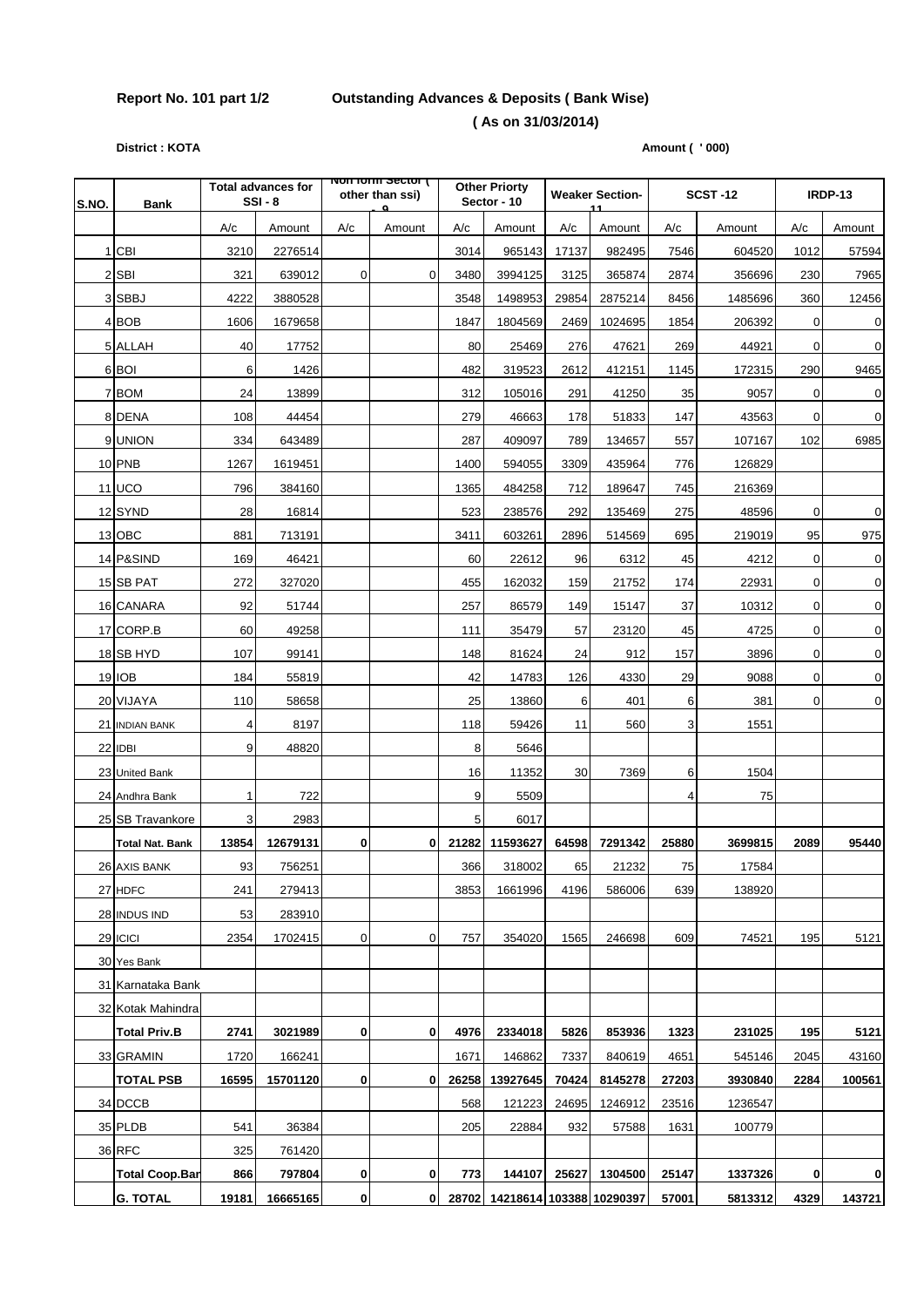## **Report No. 101 part 1/2 Outstanding Advances & Deposits ( Bank Wise) ( As on 31/03/2014)**

**District : KOTA** Amount ( ' 000)

| S.NO. | <b>Bank</b>            | <b>Total advances for</b><br>$SSI - 8$ |          | <b>NOTTOMI SECTOR</b><br>other than ssi)<br>$\alpha$ |                |       | <b>Other Priorty</b><br>Sector - 10 |       | <b>Weaker Section-</b> |       | <b>SCST-12</b> |             | <b>IRDP-13</b> |  |
|-------|------------------------|----------------------------------------|----------|------------------------------------------------------|----------------|-------|-------------------------------------|-------|------------------------|-------|----------------|-------------|----------------|--|
|       |                        | A/c                                    | Amount   | A/c                                                  | Amount         | A/c   | Amount                              | A/c   | 11<br>Amount           | A/c   | Amount         | A/c         | Amount         |  |
|       | 1 CBI                  | 3210                                   | 2276514  |                                                      |                | 3014  | 965143                              | 17137 | 982495                 | 7546  | 604520         | 1012        | 57594          |  |
|       | 2 SBI                  | 321                                    | 639012   | $\overline{0}$                                       | $\overline{0}$ | 3480  | 3994125                             | 3125  | 365874                 | 2874  | 356696         | 230         | 7965           |  |
|       | 3 SBBJ                 | 4222                                   | 3880528  |                                                      |                | 3548  | 1498953                             | 29854 | 2875214                | 8456  | 1485696        | 360         | 12456          |  |
|       | 4 BOB                  | 1606                                   | 1679658  |                                                      |                | 1847  | 1804569                             | 2469  | 1024695                | 1854  | 206392         | 0           | $\pmb{0}$      |  |
|       | 5 ALLAH                | 40                                     | 17752    |                                                      |                | 80    | 25469                               | 276   | 47621                  | 269   | 44921          | $\mathbf 0$ | $\pmb{0}$      |  |
|       | 6 BOI                  | 6                                      | 1426     |                                                      |                | 482   | 319523                              | 2612  | 412151                 | 1145  | 172315         | 290         | 9465           |  |
|       | 7 BOM                  | 24                                     | 13899    |                                                      |                | 312   | 105016                              | 291   | 41250                  | 35    | 9057           | 0           | $\pmb{0}$      |  |
|       | 8 DENA                 | 108                                    | 44454    |                                                      |                | 279   | 46663                               | 178   | 51833                  | 147   | 43563          | 0           | $\pmb{0}$      |  |
|       | 9 UNION                | 334                                    | 643489   |                                                      |                | 287   | 409097                              | 789   | 134657                 | 557   | 107167         | 102         | 6985           |  |
|       | 10 PNB                 | 1267                                   | 1619451  |                                                      |                | 1400  | 594055                              | 3309  | 435964                 | 776   | 126829         |             |                |  |
|       | <b>11 UCO</b>          | 796                                    | 384160   |                                                      |                | 1365  | 484258                              | 712   | 189647                 | 745   | 216369         |             |                |  |
|       | 12 SYND                | 28                                     | 16814    |                                                      |                | 523   | 238576                              | 292   | 135469                 | 275   | 48596          | 0           | $\pmb{0}$      |  |
|       | 13 OBC                 | 881                                    | 713191   |                                                      |                | 3411  | 603261                              | 2896  | 514569                 | 695   | 219019         | 95          | 975            |  |
|       | 14 P&SIND              | 169                                    | 46421    |                                                      |                | 60    | 22612                               | 96    | 6312                   | 45    | 4212           | 0           | $\pmb{0}$      |  |
|       | 15 SB PAT              | 272                                    | 327020   |                                                      |                | 455   | 162032                              | 159   | 21752                  | 174   | 22931          | 0           | $\mathbf 0$    |  |
|       | 16 CANARA              | 92                                     | 51744    |                                                      |                | 257   | 86579                               | 149   | 15147                  | 37    | 10312          | $\mathbf 0$ | $\pmb{0}$      |  |
|       | 17 CORP.B              | 60                                     | 49258    |                                                      |                | 111   | 35479                               | 57    | 23120                  | 45    | 4725           | 0           | $\mathbf 0$    |  |
|       | 18 SB HYD              | 107                                    | 99141    |                                                      |                | 148   | 81624                               | 24    | 912                    | 157   | 3896           | 0           | $\pmb{0}$      |  |
|       | 19 IOB                 | 184                                    | 55819    |                                                      |                | 42    | 14783                               | 126   | 4330                   | 29    | 9088           | 0           | $\pmb{0}$      |  |
|       | 20 VIJAYA              | 110                                    | 58658    |                                                      |                | 25    | 13860                               | 6     | 401                    | 6     | 381            | 0           | $\pmb{0}$      |  |
|       | 21 INDIAN BANK         | 4                                      | 8197     |                                                      |                | 118   | 59426                               | 11    | 560                    | 3     | 1551           |             |                |  |
|       | 22 IDBI                | 9                                      | 48820    |                                                      |                | 8     | 5646                                |       |                        |       |                |             |                |  |
|       | 23 United Bank         |                                        |          |                                                      |                | 16    | 11352                               | 30    | 7369                   | 6     | 1504           |             |                |  |
|       | 24 Andhra Bank         | 1                                      | 722      |                                                      |                | 9     | 5509                                |       |                        | 4     | 75             |             |                |  |
|       | 25 SB Travankore       | 3                                      | 2983     |                                                      |                | 5     | 6017                                |       |                        |       |                |             |                |  |
|       | <b>Total Nat. Bank</b> | 13854                                  | 12679131 | 0                                                    | $\mathbf{0}$   | 21282 | 11593627                            | 64598 | 7291342                | 25880 | 3699815        | 2089        | 95440          |  |
|       | 26 AXIS BANK           | 93                                     | 756251   |                                                      |                | 366   | 318002                              | 65    | 21232                  | 75    | 17584          |             |                |  |
|       | 27 HDFC                | 241                                    | 279413   |                                                      |                | 3853  | 1661996                             | 4196  | 586006                 | 639   | 138920         |             |                |  |
|       | 28 INDUS IND           | 53                                     | 283910   |                                                      |                |       |                                     |       |                        |       |                |             |                |  |
|       | 29 ICICI               | 2354                                   | 1702415  | 0                                                    | 0              | 757   | 354020                              | 1565  | 246698                 | 609   | 74521          | 195         | 5121           |  |
|       | 30 Yes Bank            |                                        |          |                                                      |                |       |                                     |       |                        |       |                |             |                |  |
|       | 31 Karnataka Bank      |                                        |          |                                                      |                |       |                                     |       |                        |       |                |             |                |  |
|       | 32 Kotak Mahindra      |                                        |          |                                                      |                |       |                                     |       |                        |       |                |             |                |  |
|       | <b>Total Priv.B</b>    | 2741                                   | 3021989  | 0                                                    | 0              | 4976  | 2334018                             | 5826  | 853936                 | 1323  | 231025         | 195         | 5121           |  |
|       | 33 GRAMIN              | 1720                                   | 166241   |                                                      |                | 1671  | 146862                              | 7337  | 840619                 | 4651  | 545146         | 2045        | 43160          |  |
|       | <b>TOTAL PSB</b>       | 16595                                  | 15701120 | 0                                                    | $\mathbf{0}$   | 26258 | 13927645                            | 70424 | 8145278                | 27203 | 3930840        | 2284        | 100561         |  |
|       | 34 DCCB                |                                        |          |                                                      |                | 568   | 121223                              | 24695 | 1246912                | 23516 | 1236547        |             |                |  |
|       | 35 PLDB                | 541                                    | 36384    |                                                      |                | 205   | 22884                               | 932   | 57588                  | 1631  | 100779         |             |                |  |
|       | 36 RFC                 | 325                                    | 761420   |                                                      |                |       |                                     |       |                        |       |                |             |                |  |
|       | <b>Total Coop Ban</b>  | 866                                    | 797804   | 0                                                    | $\mathbf{0}$   | 773   | 144107                              | 25627 | 1304500                | 25147 | 1337326        | 0           | $\mathbf 0$    |  |
|       | <b>G. TOTAL</b>        | 19181                                  | 16665165 | $\bf{0}$                                             | 0              |       | 28702 14218614 103388 10290397      |       |                        | 57001 | 5813312        | 4329        | 143721         |  |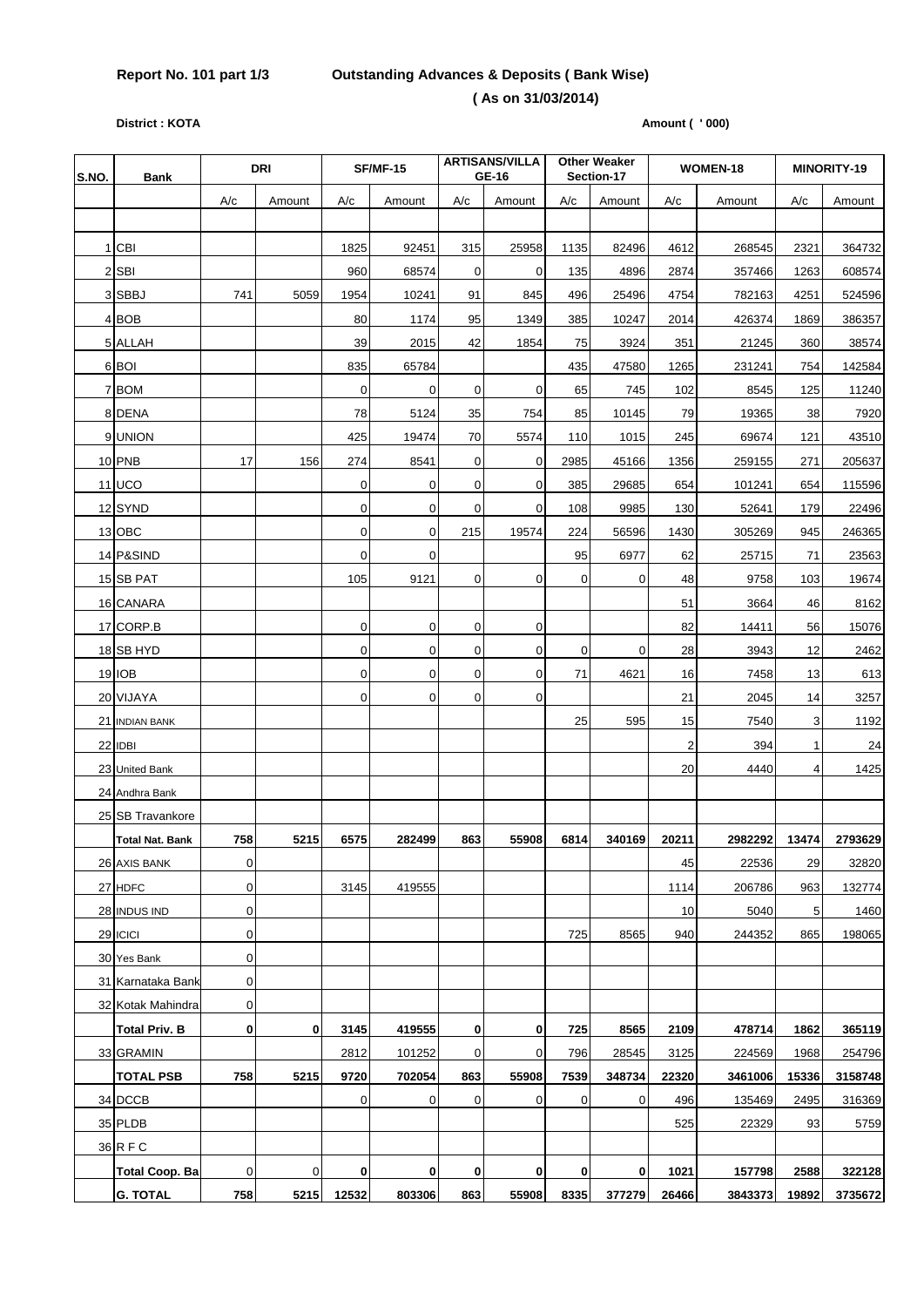## **Report No. 101 part 1/3 Outstanding Advances & Deposits ( Bank Wise)**

#### **( As on 31/03/2014)**

**District : KOTA** Amount ( ' 000)

| S.NO. | <b>Bank</b>            | <b>DRI</b>       |             | <b>SF/MF-15</b> |             |                  | <b>ARTISANS/VILLA</b><br>GE-16 | <b>Other Weaker</b><br>Section-17 |          | WOMEN-18 |         | MINORITY-19  |         |
|-------|------------------------|------------------|-------------|-----------------|-------------|------------------|--------------------------------|-----------------------------------|----------|----------|---------|--------------|---------|
|       |                        | A/c              | Amount      | A/c             | Amount      | A/c              | Amount                         | A/c                               | Amount   | A/c      | Amount  | A/c          | Amount  |
|       |                        |                  |             |                 |             |                  |                                |                                   |          |          |         |              |         |
|       | 1 CBI                  |                  |             | 1825            | 92451       | 315              | 25958                          | 1135                              | 82496    | 4612     | 268545  | 2321         | 364732  |
|       | 2 SBI                  |                  |             | 960             | 68574       | 0                | 0                              | 135                               | 4896     | 2874     | 357466  | 1263         | 608574  |
|       | 3 SBBJ                 | 741              | 5059        | 1954            | 10241       | 91               | 845                            | 496                               | 25496    | 4754     | 782163  | 4251         | 524596  |
|       | 4 BOB                  |                  |             | 80              | 1174        | 95               | 1349                           | 385                               | 10247    | 2014     | 426374  | 1869         | 386357  |
|       | 5 ALLAH                |                  |             | 39              | 2015        | 42               | 1854                           | 75                                | 3924     | 351      | 21245   | 360          | 38574   |
|       | 6 BOI                  |                  |             | 835             | 65784       |                  |                                | 435                               | 47580    | 1265     | 231241  | 754          | 142584  |
|       | 7 BOM                  |                  |             | 0               | $\mathbf 0$ | 0                | 0                              | 65                                | 745      | 102      | 8545    | 125          | 11240   |
|       | 8 DENA                 |                  |             | 78              | 5124        | 35               | 754                            | 85                                | 10145    | 79       | 19365   | 38           | 7920    |
|       | 9 UNION                |                  |             | 425             | 19474       | 70               | 5574                           | 110                               | 1015     | 245      | 69674   | 121          | 43510   |
|       | 10 PNB                 | 17               | 156         | 274             | 8541        | $\mathbf 0$      | $\mathbf 0$                    | 2985                              | 45166    | 1356     | 259155  | 271          | 205637  |
|       | 11 UCO                 |                  |             | 0               | 0           | $\mathbf 0$      | $\mathbf 0$                    | 385                               | 29685    | 654      | 101241  | 654          | 115596  |
|       | 12 SYND                |                  |             | 0               | 0           | 0                | $\mathbf 0$                    | 108                               | 9985     | 130      | 52641   | 179          | 22496   |
|       | 13 OBC                 |                  |             | $\mathbf 0$     | 0           | 215              | 19574                          | 224                               | 56596    | 1430     | 305269  | 945          | 246365  |
|       | 14 P&SIND              |                  |             | 0               | 0           |                  |                                | 95                                | 6977     | 62       | 25715   | 71           | 23563   |
|       | 15 SB PAT              |                  |             | 105             | 9121        | $\mathbf 0$      | 0                              | $\mathbf 0$                       | 0        | 48       | 9758    | 103          | 19674   |
|       | 16 CANARA              |                  |             |                 |             |                  |                                |                                   |          | 51       | 3664    | 46           | 8162    |
|       | 17 CORP.B              |                  |             | $\mathbf 0$     | 0           | $\mathbf 0$      | 0                              |                                   |          | 82       | 14411   | 56           | 15076   |
|       | 18 SB HYD              |                  |             | 0               | 0           | $\mathbf 0$      | $\mathbf 0$                    | $\mathbf 0$                       | 0        | 28       | 3943    | 12           | 2462    |
|       | 19 IOB                 |                  |             | 0               | 0           | $\mathbf 0$      | $\mathbf 0$                    | 71                                | 4621     | 16       | 7458    | 13           | 613     |
|       | 20 VIJAYA              |                  |             | $\mathbf 0$     | $\mathbf 0$ | $\mathbf 0$      | $\mathbf 0$                    |                                   |          | 21       | 2045    | 14           | 3257    |
|       | 21 INDIAN BANK         |                  |             |                 |             |                  |                                | 25                                | 595      | 15       | 7540    | 3            | 1192    |
|       | 22 IDBI                |                  |             |                 |             |                  |                                |                                   |          | 2        | 394     | $\mathbf{1}$ | 24      |
|       | 23 United Bank         |                  |             |                 |             |                  |                                |                                   |          | 20       | 4440    | 4            | 1425    |
|       | 24 Andhra Bank         |                  |             |                 |             |                  |                                |                                   |          |          |         |              |         |
|       | 25 SB Travankore       |                  |             |                 |             |                  |                                |                                   |          |          |         |              |         |
|       | <b>Total Nat. Bank</b> | 758              | 5215        | 6575            | 282499      | 863              | 55908                          | 6814                              | 340169   | 20211    | 2982292 | 13474        | 2793629 |
|       | 26 AXIS BANK           | $\mathbf 0$      |             |                 |             |                  |                                |                                   |          | 45       | 22536   | 29           | 32820   |
|       | 27 HDFC                | 0                |             | 3145            | 419555      |                  |                                |                                   |          | 1114     | 206786  | 963          | 132774  |
|       | 28 INDUS IND           | $\mathbf 0$      |             |                 |             |                  |                                |                                   |          | 10       | 5040    | 5            | 1460    |
|       | 29 ICICI               | $\boldsymbol{0}$ |             |                 |             |                  |                                | 725                               | 8565     | 940      | 244352  | 865          | 198065  |
|       | 30 Yes Bank            | $\mathbf 0$      |             |                 |             |                  |                                |                                   |          |          |         |              |         |
|       | 31 Karnataka Bank      | 0                |             |                 |             |                  |                                |                                   |          |          |         |              |         |
|       | 32 Kotak Mahindra      | $\boldsymbol{0}$ |             |                 |             |                  |                                |                                   |          |          |         |              |         |
|       | <b>Total Priv. B</b>   | $\bf{0}$         | $\bf{0}$    | 3145            | 419555      | $\mathbf 0$      | $\mathbf 0$                    | 725                               | 8565     | 2109     | 478714  | 1862         | 365119  |
|       | 33 GRAMIN              |                  |             | 2812            | 101252      | $\boldsymbol{0}$ | $\mathbf 0$                    | 796                               | 28545    | 3125     | 224569  | 1968         | 254796  |
|       | <b>TOTAL PSB</b>       | 758              | 5215        | 9720            | 702054      | 863              | 55908                          | 7539                              | 348734   | 22320    | 3461006 | 15336        | 3158748 |
|       | 34 DCCB                |                  |             | 0               | 0           | $\mathbf 0$      | 0                              | 0                                 | 0        | 496      | 135469  | 2495         | 316369  |
|       | 35 PLDB                |                  |             |                 |             |                  |                                |                                   |          | 525      | 22329   | 93           | 5759    |
|       | 36 R F C               |                  |             |                 |             |                  |                                |                                   |          |          |         |              |         |
|       | <b>Total Coop. Ba</b>  | $\boldsymbol{0}$ | $\mathbf 0$ | 0               | 0           | 0                | 0                              | $\mathbf{0}$                      | $\bf{0}$ | 1021     | 157798  | 2588         | 322128  |
|       | <b>G. TOTAL</b>        | 758              | 5215        | 12532           | 803306      | 863              | 55908                          | 8335                              | 377279   | 26466    | 3843373 | 19892        | 3735672 |